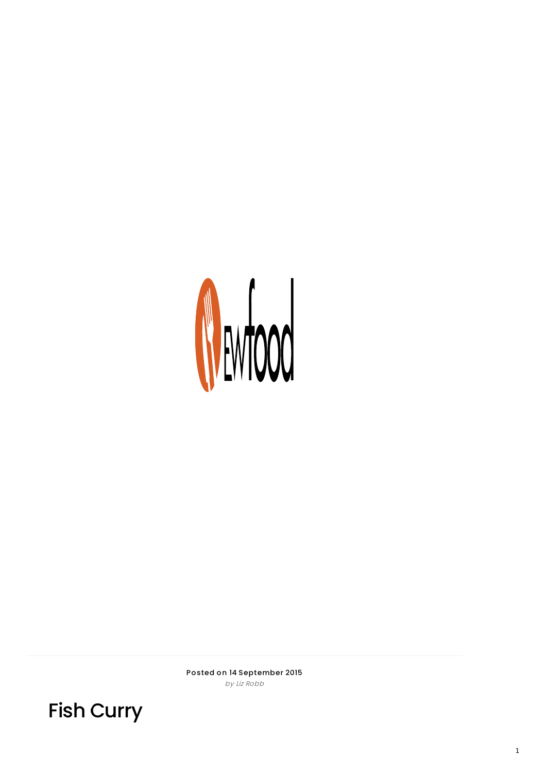

Posted on 14 September 2015 by Liz Ro bb

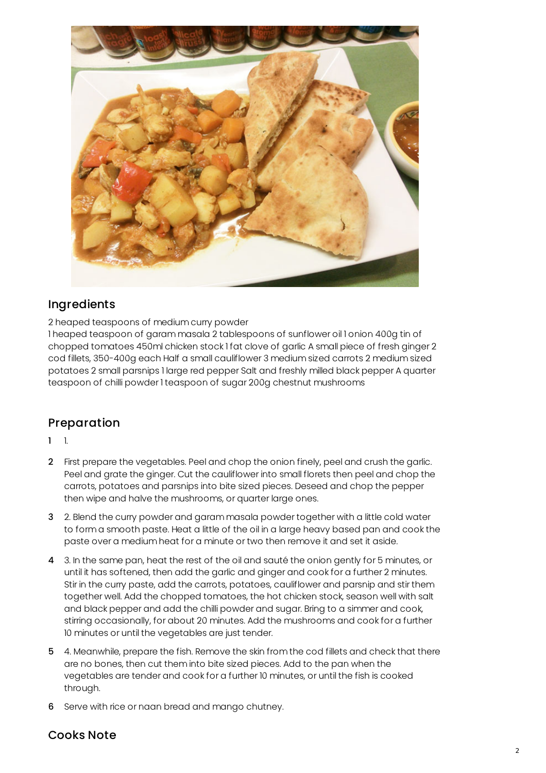

## Ingredients

2 heaped teaspoons of medium curry powder

1 heaped teaspoon of garam masala 2 tablespoons of sunflower oil 1 onion 400g tin of chopped tomatoes 450ml chicken stock 1 fat clove of garlic A small piece of fresh ginger 2 cod fillets, 350-400g each Half a small cauliflower 3 medium sized carrots 2 medium sized potatoes 2 small parsnips 1 large red pepper Salt and freshly milled black pepper A quarter teaspoon of chilli powder 1 teaspoon of sugar 200g chestnut mushrooms

## Preparation

1 1.

- 2 First prepare the vegetables. Peel and chop the onion finely, peel and crush the garlic. Peel and grate the ginger. Cut the cauliflower into small florets then peel and chop the carrots, potatoes and parsnips into bite sized pieces. Deseed and chop the pepper then wipe and halve the mushrooms, or quarter large ones.
- 3 2. Blend the curry powder and garam masala powder together with a little cold water to form a smooth paste. Heat a little of the oil in a large heavy based pan and cook the paste over a medium heat for a minute or two then remove it and set it aside.
- 4 3. In the same pan, heat the rest of the oil and sauté the onion gently for 5 minutes, or until it has softened, then add the garlic and ginger and cook for a further 2 minutes. Stir in the curry paste, add the carrots, potatoes, cauliflower and parsnip and stir them together well. Add the chopped tomatoes, the hot chicken stock, season well with salt and black pepper and add the chilli powder and sugar. Bring to a simmer and cook, stirring occasionally, for about 20 minutes. Add the mushrooms and cook for a further 10 minutes or until the vegetables are just tender.
- 5 4. Meanwhile, prepare the fish. Remove the skin from the cod fillets and check that there are no bones, then cut them into bite sized pieces. Add to the pan when the vegetables are tender and cook for a further 10 minutes, or until the fish is cooked through.
- 6 Serve with rice or naan bread and mango chutney.

## Cooks Note